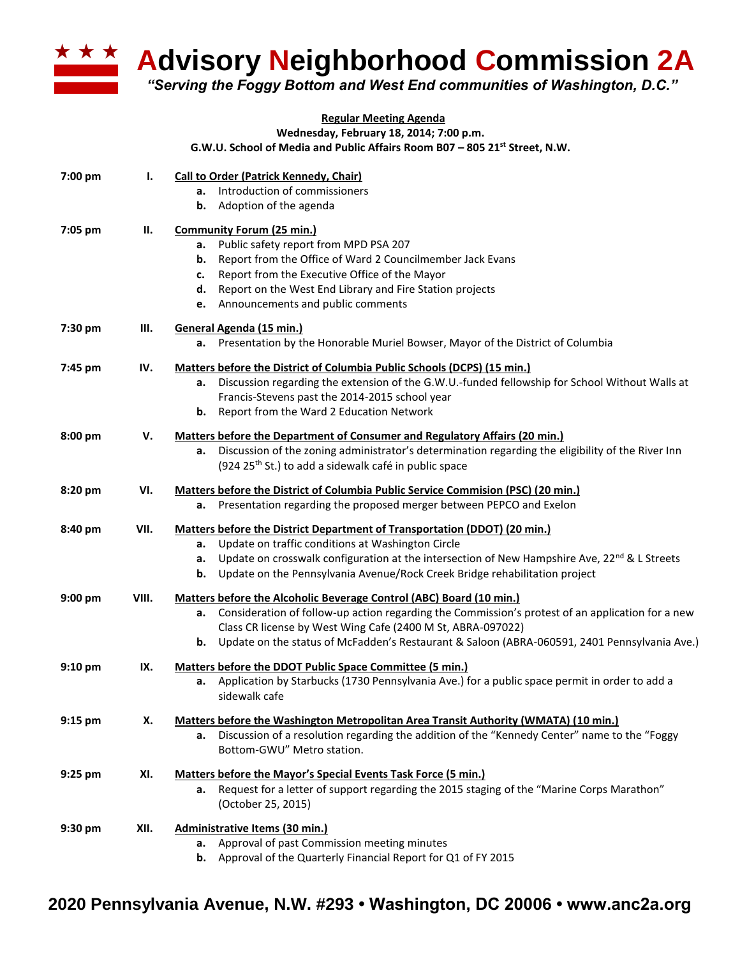

## **A Advisory Neighborhood Commission 2A**

*"Serving the Foggy Bottom and West End communities of Washington, D.C."*

## **Regular Meeting Agenda**

**Wednesday, February 18, 2014; 7:00 p.m.**

**G.W.U. School of Media and Public Affairs Room B07 – 805 21st Street, N.W.**

| 7:00 pm   | Ι.    | Call to Order (Patrick Kennedy, Chair)<br>Introduction of commissioners                                              |
|-----------|-------|----------------------------------------------------------------------------------------------------------------------|
|           |       | а.<br>Adoption of the agenda<br>b.                                                                                   |
| 7:05 pm   | П.    | <b>Community Forum (25 min.)</b>                                                                                     |
|           |       | Public safety report from MPD PSA 207<br>а.                                                                          |
|           |       | Report from the Office of Ward 2 Councilmember Jack Evans<br>b.                                                      |
|           |       | Report from the Executive Office of the Mayor<br>c.                                                                  |
|           |       | Report on the West End Library and Fire Station projects<br>d.                                                       |
|           |       | Announcements and public comments<br>e.                                                                              |
| 7:30 pm   | Ш.    | General Agenda (15 min.)                                                                                             |
|           |       | a. Presentation by the Honorable Muriel Bowser, Mayor of the District of Columbia                                    |
| 7:45 pm   | IV.   | Matters before the District of Columbia Public Schools (DCPS) (15 min.)                                              |
|           |       | Discussion regarding the extension of the G.W.U.-funded fellowship for School Without Walls at<br>а.                 |
|           |       | Francis-Stevens past the 2014-2015 school year                                                                       |
|           |       | Report from the Ward 2 Education Network<br>b.                                                                       |
| 8:00 pm   | V.    | Matters before the Department of Consumer and Regulatory Affairs (20 min.)                                           |
|           |       | Discussion of the zoning administrator's determination regarding the eligibility of the River Inn<br>а.              |
|           |       | (924 25 <sup>th</sup> St.) to add a sidewalk café in public space                                                    |
| 8:20 pm   | VI.   | <b>Matters before the District of Columbia Public Service Commision (PSC) (20 min.)</b>                              |
|           |       | Presentation regarding the proposed merger between PEPCO and Exelon<br>а.                                            |
| 8:40 pm   | VII.  | Matters before the District Department of Transportation (DDOT) (20 min.)                                            |
|           |       | Update on traffic conditions at Washington Circle<br>а.                                                              |
|           |       | Update on crosswalk configuration at the intersection of New Hampshire Ave, 22 <sup>nd</sup> & L Streets<br>а.       |
|           |       | Update on the Pennsylvania Avenue/Rock Creek Bridge rehabilitation project<br>b.                                     |
| $9:00$ pm | VIII. | Matters before the Alcoholic Beverage Control (ABC) Board (10 min.)                                                  |
|           |       | Consideration of follow-up action regarding the Commission's protest of an application for a new<br>а.               |
|           |       | Class CR license by West Wing Cafe (2400 M St, ABRA-097022)                                                          |
|           |       | Update on the status of McFadden's Restaurant & Saloon (ABRA-060591, 2401 Pennsylvania Ave.)<br>b.                   |
| $9:10$ pm | IX.   | Matters before the DDOT Public Space Committee (5 min.)                                                              |
|           |       | Application by Starbucks (1730 Pennsylvania Ave.) for a public space permit in order to add a<br>а.<br>sidewalk cafe |
| $9:15$ pm | Х.    | <b>Matters before the Washington Metropolitan Area Transit Authority (WMATA) (10 min.)</b>                           |
|           |       | Discussion of a resolution regarding the addition of the "Kennedy Center" name to the "Foggy<br>а.                   |
|           |       | Bottom-GWU" Metro station.                                                                                           |
| 9:25 pm   | XI.   | Matters before the Mayor's Special Events Task Force (5 min.)                                                        |
|           |       | Request for a letter of support regarding the 2015 staging of the "Marine Corps Marathon"<br>а.                      |
|           |       | (October 25, 2015)                                                                                                   |
| 9:30 pm   | XII.  | <b>Administrative Items (30 min.)</b>                                                                                |
|           |       | a. Approval of past Commission meeting minutes                                                                       |
|           |       | Approval of the Quarterly Financial Report for Q1 of FY 2015<br>b.                                                   |